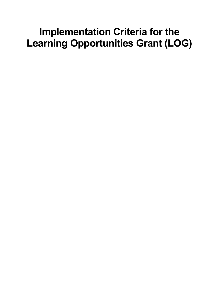# **Implementation Criteria for the Learning Opportunities Grant (LOG)**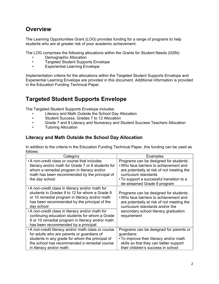### **Overview**

The Learning Opportunities Grant (LOG) provides funding for a range of programs to help students who are at greater risk of poor academic achievement.

The LOG comprises the following allocations within the Grants for Student Needs (GSN):

- Demographic Allocation
- Targeted Student Supports Envelope
- Experiential Learning Envelope

Implementation criteria for the allocations within the Targeted Student Supports Envelope and Experiential Learning Envelope are provided in this document. Additional information is provided in the Education Funding Technical Paper.

## **Targeted Student Supports Envelope**

The Targeted Student Supports Envelope includes:

- Literacy and Math Outside the School Day Allocation
- Student Success, Grades 7 to 12 Allocation
- Grade 7 and 8 Literacy and Numeracy and Student Success Teachers Allocation
- Tutoring Allocation

#### **Literacy and Math Outside the School Day Allocation**

In addition to the criteria in the Education Funding Technical Paper, this funding can be used as follows:

| Category                                                                                                                                                                                                                        | <b>Examples</b>                                                                                                                                                                                                                    |
|---------------------------------------------------------------------------------------------------------------------------------------------------------------------------------------------------------------------------------|------------------------------------------------------------------------------------------------------------------------------------------------------------------------------------------------------------------------------------|
| • A non-credit class or course that includes<br>literacy and/or math for Grade 7 or 8 students for<br>whom a remedial program in literacy and/or<br>math has been recommended by the principal of<br>the day school             | Programs can be designed for students:<br>• Who face barriers to achievement and<br>are potentially at risk of not meeting the<br>curriculum standards<br>• To support a successful transition to a<br>de-streamed Grade 9 program |
| • A non-credit class in literacy and/or math for<br>students in Grades 9 to 12 for whom a Grade 9<br>or 10 remedial program in literacy and/or math<br>has been recommended by the principal of the<br>day school               | Programs can be designed for students:<br>. Who face barriers to achievement and<br>are potentially at risk of not meeting the<br>curriculum standards and/or the                                                                  |
| • A non-credit class in literacy and/or math for<br>continuing education students for whom a Grade<br>9 or 10 remedial program in literacy and/or math<br>has been recommended by a principal                                   | secondary school literacy graduation<br>requirement                                                                                                                                                                                |
| • A non-credit literacy and/or math class or course<br>for adults who are parents or guardians of<br>students in any grade for whom the principal of<br>the school has recommended a remedial course<br>in literacy and/or math | Programs can be designed for parents or<br>guardians:<br>• To improve their literacy and/or math<br>skills so that they can better support<br>their children's success in school                                                   |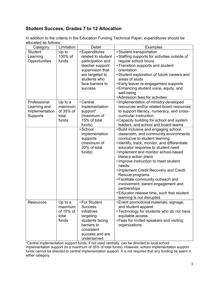#### **Student Success, Grades 7 to 12 Allocation**

In addition to the criteria in the Education Funding Technical Paper, expenditures should be allocated as follows:

<span id="page-2-1"></span>

| Category         | Limitation | Detail             | <b>Examples</b>                               |
|------------------|------------|--------------------|-----------------------------------------------|
| <b>Student</b>   | Up to      | • Expenditures     | • Student transportation                      |
| Learning         | 100% of    | related to student | • Staffing supports for activities outside of |
| Opportunities    | funds      | participation and  | regular school hours                          |
|                  |            | teacher support/   | • Transition supports and student             |
|                  |            | supervision that   | orientation                                   |
|                  |            | are targeted to    | • Student exploration of future careers and   |
|                  |            | students who       | areas of study                                |
|                  |            | face barriers to   | • Early leaver re-engagement supports         |
|                  |            | success            | • Enhancing student voice, equity, and        |
|                  |            |                    | well-being                                    |
|                  |            |                    | • Admission fees for activities               |
| Professional     | Up to a    | • Central          | · Implementation of ministry-developed        |
| Learning and     | maximum    | implementation     | resources and/or related-board resources      |
| Implementation   | of 35% of  | support*           | to support literacy, numeracy, and cross-     |
| Supports         | total      | (maximum of        | curricular instruction                        |
|                  | funds      | 15% of total       | • Capacity building for school and system     |
|                  |            | funds)             | leaders, and school and board teams           |
|                  |            | · School           | . Build inclusive and engaging school,        |
|                  |            | implementation     | classroom, and community environments         |
|                  |            | supports           | conducive to student learning                 |
|                  |            | (maximum of        | · Identify, track, monitor, and differentiate |
|                  |            | 20% of total       | educator response to student need             |
|                  |            | funds)             | . Implement and monitor school-based          |
|                  |            |                    | literacy action plans                         |
|                  |            |                    | • Improve instruction to meet student         |
|                  |            |                    | needs                                         |
|                  |            |                    | . Implement Credit Recovery and Credit        |
|                  |            |                    | Rescue programs                               |
|                  |            |                    | • Facilitate community outreach and           |
|                  |            |                    | involvement, parent engagement and            |
|                  |            |                    | partnerships                                  |
|                  |            |                    | • Educator release time, such that student    |
|                  |            |                    | learning is not disrupted                     |
| <b>Resources</b> | Up to a    | • For Student      | • Event promotional materials, signage,       |
|                  | maximum    | <b>Success</b>     | and student apparel                           |
|                  | of 10% of  | initiatives        | • Technology for students who do not have     |
|                  | total      | targeting          | equitable access                              |
|                  | funds      | students facing    | • Fees for invited speakers and visiting      |
|                  |            | barriers to        | organizations                                 |
|                  |            | consistent         |                                               |
|                  |            | success and are    |                                               |
|                  |            | underserved        |                                               |

<span id="page-2-0"></span>[\\*C](#page-2-1)entral implementation support funds, if not used centrally, can be directed to local school implementation support (to a maximum of 35% of total funds). However, school implementation support funds cannot be directed to central implementation support. It is not required that any funding be spent in either category.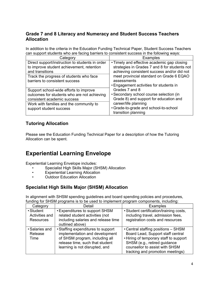#### **Grade 7 and 8 Literacy and Numeracy and Student Success Teachers Allocation**

In addition to the criteria in the Education Funding Technical Paper, Student Success Teachers can support students who are facing barriers to consistent success in the following ways:

| Category                                                                                                                                                                                     | <b>Examples</b>                                                                                                                                                                                                                                   |
|----------------------------------------------------------------------------------------------------------------------------------------------------------------------------------------------|---------------------------------------------------------------------------------------------------------------------------------------------------------------------------------------------------------------------------------------------------|
| Direct support/instruction to students in order<br>to improve student achievement, retention<br>and transitions<br>Track the progress of students who face<br>barriers to consistent success | • Timely and effective academic gap closing<br>strategies in Grades 7 and 8 for students not<br>achieving consistent success and/or did not<br>meet provincial standard on Grade 6 EQAO<br>assessments<br>• Engagement activities for students in |
| Support school-wide efforts to improve<br>outcomes for students who are not achieving<br>consistent academic success<br>Work with families and the community to<br>support student success   | Grades 7 and 8<br>• Secondary school course selection (in<br>Grade 8) and support for education and<br>career/life planning<br>• Grade-to-grade and school-to-school<br>transition planning                                                       |

#### **Tutoring Allocation**

Please see the Education Funding Technical Paper for a description of how the Tutoring Allocation can be spent.

## **Experiential Learning Envelope**

Experiential Learning Envelope includes:

- Specialist High Skills Major (SHSM) Allocation
- Experiential Learning Allocation
- Outdoor Education Allocation

#### **Specialist High Skills Major (SHSM) Allocation**

In alignment with SHSM spending guidelines and board spending policies and procedures, funding for SHSM programs is to be used to implement program components, including:

| Category         | Detail                              | <b>Examples</b>                         |
|------------------|-------------------------------------|-----------------------------------------|
| • Student        | • Expenditures to support SHSM      | • Student certification/training costs, |
| Activities and   | related student activities (not     | including travel, admission fees,       |
| <b>Resources</b> | including salaries and release time | registration costs and resources        |
|                  | outlined above)                     |                                         |
| • Salaries and   | • Staffing expenditures to support  | • Central staffing positions - SHSM     |
| Release          | implementation and development      | Board Lead, Support staff central       |
| Time             | of SHSM program, including all      | • Hiring of temporary staff to support  |
|                  | release time, such that student     | SHSM (e.g., retired guidance            |
|                  | learning is not disrupted, and      | counsellor to assist with SHSM          |
|                  |                                     | tracking and promotion meetings)        |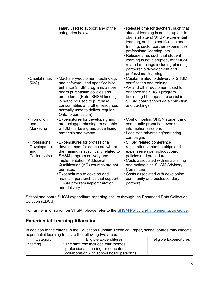|                                                      | salary used to support any of the<br>categories below                                                                                                                                                                                                                                                                                                            | • Release time for teachers, such that<br>student learning is not disrupted, to<br>plan and attend SHSM experiential<br>learning, such as certification and<br>training, sector partner experiences,<br>professional learning, etc.<br>• Release time, such that student<br>learning is not disrupted, for SHSM<br>related meetings including planning,<br>partnership development and<br>professional learning |
|------------------------------------------------------|------------------------------------------------------------------------------------------------------------------------------------------------------------------------------------------------------------------------------------------------------------------------------------------------------------------------------------------------------------------|-----------------------------------------------------------------------------------------------------------------------------------------------------------------------------------------------------------------------------------------------------------------------------------------------------------------------------------------------------------------------------------------------------------------|
| • Capital (max<br>50%)                               | • Machinery/equipment, technology<br>and software used specifically to<br>enhance SHSM programs as per<br>board purchasing policies and<br>procedures (Note: SHSM funding<br>is not to be used to purchase<br>consumables and other resources<br>normally used to deliver regular<br>Ontario curriculum)                                                         | • Capital related to delivery of SHSM<br>certification and training<br>. AV and other equipment used to<br>enhance the SHSM program<br>(including IT supports to assist in<br>SHSM board/school data collection<br>and tracking)                                                                                                                                                                                |
| • Promotion<br>and<br>Marketing                      | • Expenditures for developing and<br>producing/purchasing reasonable<br>SHSM marketing and advertising<br>materials and events                                                                                                                                                                                                                                   | • Cost of hosting SHSM student and<br>community promotion events,<br>information sessions<br>• Localized advertising/marketing<br>campaigns                                                                                                                                                                                                                                                                     |
| • Professional<br>Development<br>and<br>Partnerships | <b>• Expenditures for professional</b><br>development for educators where<br>the training is specifically related to<br>SHSM program delivery and<br>implementation (Additional<br>Qualification (AQ) courses are not<br>permitted)<br><b>.</b> Expenditures to develop and<br>maintain partnerships that support<br>SHSM program implementation<br>and delivery | · SHSM related conference<br>registrations/ memberships and<br>expenses as per school/board<br>policies and procedures<br>• Costs associated with establishing<br>and maintaining SHSM Advisory<br>Committee<br>• Costs associated with developing<br>community and postsecondary<br>partners                                                                                                                   |

School and board SHSM expenditure reporting occurs through the Enhanced Data Collection Solution (EDCS).

For further information on SHSM, please refer to the [SHSM Policy and Implementation Guide](http://www.edu.gov.on.ca/morestudentsuccess/policy.html).

#### **Experiential Learning Allocation**

In addition to the criteria in the Education Funding Technical Paper, school boards may allocate experiential learning funds to the following two areas:

| Category | Eligible Expenditures                                                                                                        | Ineligible Expenditures |
|----------|------------------------------------------------------------------------------------------------------------------------------|-------------------------|
| Staffing | • The staff role includes four themes:<br>professional learning for educators,<br>collaboration with school board personnel, |                         |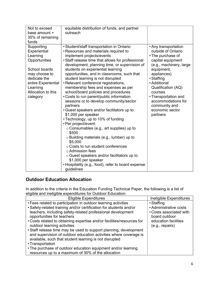| Not to exceed<br>base amount + | equitable distribution of funds, and partner<br>outreach |                         |
|--------------------------------|----------------------------------------------------------|-------------------------|
|                                |                                                          |                         |
| 35% of remaining               |                                                          |                         |
| funds                          |                                                          |                         |
| Supporting                     | • Student/staff transportation in Ontario                | • Any transportation    |
| Experiential                   | • Resources and materials required to                    | outside of Ontario      |
| Learning                       | implement projects/events                                | • The purchase of       |
| Opportunities                  | • Staff release time that allows for professional        | capital equipment       |
|                                | development, planning time, or supervision of            | (e.g., machinery, large |
| School boards                  | students on experiential learning                        | equipment,              |
| may choose to                  | opportunities, and in classrooms, such that              | appliances)             |
| dedicate the                   | student learning is not disrupted                        | • Staffing              |
| entire Experiential            | • Relevant conference registrations,                     | • Additional            |
| Learning                       | membership fees and expenses as per                      | Qualification (AQ)      |
| Allocation to this             | school/board policies and procedures                     | courses                 |
| category                       | • Costs to run parent/public information                 | • Transportation and    |
|                                | sessions or to develop community/sector                  | accommodations for      |
|                                | partners                                                 | community and           |
|                                | • Guest speakers and/or facilitators up to               | economic sector         |
|                                | \$1,000 per speaker                                      | partners                |
|                                | • Technology, up to 10% of funding                       |                         |
|                                | • Per project/event:                                     |                         |
|                                | $\circ$ Consumables (e.g., art supplies) up to           |                         |
|                                | \$500                                                    |                         |
|                                | o Building materials (e.g., lumber) up to                |                         |
|                                | \$5,000                                                  |                         |
|                                | ○ Costs to run student conferences                       |                         |
|                                | ○ Admission fees                                         |                         |
|                                | o Guest speakers and/or facilitators up to               |                         |
|                                | \$1,000 per speaker                                      |                         |
|                                | • Hospitality (e.g., food), refer to board expense       |                         |
|                                | guidelines                                               |                         |

#### **Outdoor Education Allocation**

In addition to the criteria in the Education Funding Technical Paper, the following is a list of eligible and ineligible expenditures for Outdoor Education:

| <b>Eligible Expenditures</b>                                           | Ineligible Expenditures |
|------------------------------------------------------------------------|-------------------------|
| • Fees related to participation in outdoor learning activities         | • Staffing              |
| • Safety-related training and/or certification for students and/or     | • Administrative costs  |
| teachers, including safety-related professional development            | • Costs associated with |
| opportunities for teachers                                             | board outdoor           |
| • Costs related to obtaining expertise and/or facilities/resources for | education facilities    |
| outdoor learning activities                                            | (e.g., repairs)         |
| • Staff release time may be used to support planning, development      |                         |
| and supervision of outdoor education activities where coverage is      |                         |
| available, such that student learning is not disrupted                 |                         |
| • Transportation                                                       |                         |
| • The purchase of outdoor education equipment and/or learning          |                         |
| resources up to a maximum of 30% of the allocation                     |                         |